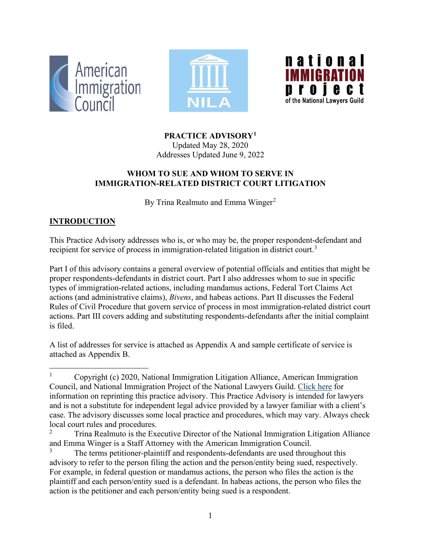





**PRACTICE ADVISORY[1](#page-0-0)**

Updated May 28, 2020 Addresses Updated June 9, 2022

### **WHOM TO SUE AND WHOM TO SERVE IN IMMIGRATION-RELATED DISTRICT COURT LITIGATION**

By Trina Realmuto and Emma Winger<sup>[2](#page-0-1)</sup>

## **INTRODUCTION**

This Practice Advisory addresses who is, or who may be, the proper respondent-defendant and recipient for service of process in immigration-related litigation in district court.<sup>[3](#page-0-2)</sup>

Part I of this advisory contains a general overview of potential officials and entities that might be proper respondents-defendants in district court. Part I also addresses whom to sue in specific types of immigration-related actions, including mandamus actions, Federal Tort Claims Act actions (and administrative claims), *Bivens*, and habeas actions. Part II discusses the Federal Rules of Civil Procedure that govern service of process in most immigration-related district court actions. Part III covers adding and substituting respondents-defendants after the initial complaint is filed.

A list of addresses for service is attached as Appendix A and sample certificate of service is attached as Appendix B.

<span id="page-0-0"></span><sup>&</sup>lt;sup>1</sup> Copyright (c) 2020, National Immigration Litigation Alliance, American Immigration Council, and National Immigration Project of the National Lawyers Guild. [Click here](https://www.americanimmigrationcouncil.org/sites/default/files/council_copyright_policy.pdf) for information on reprinting this practice advisory. This Practice Advisory is intended for lawyers and is not a substitute for independent legal advice provided by a lawyer familiar with a client's case. The advisory discusses some local practice and procedures, which may vary. Always check local court rules and procedures.

<span id="page-0-1"></span><sup>2</sup> Trina Realmuto is the Executive Director of the National Immigration Litigation Alliance and Emma Winger is a Staff Attorney with the American Immigration Council.

<span id="page-0-2"></span>The terms petitioner-plaintiff and respondents-defendants are used throughout this advisory to refer to the person filing the action and the person/entity being sued, respectively. For example, in federal question or mandamus actions, the person who files the action is the plaintiff and each person/entity sued is a defendant. In habeas actions, the person who files the action is the petitioner and each person/entity being sued is a respondent.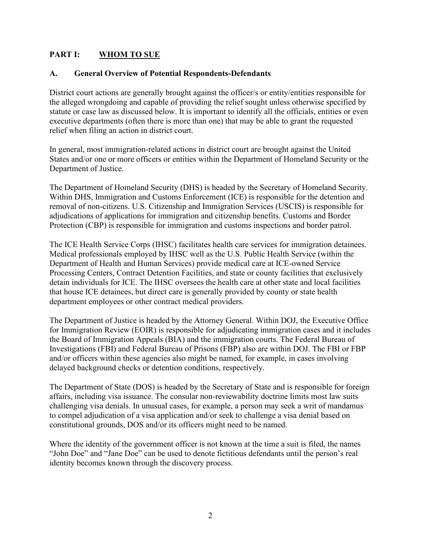### **PART I: WHOM TO SUE**

#### **A. General Overview of Potential Respondents-Defendants**

District court actions are generally brought against the officer/s or entity/entities responsible for the alleged wrongdoing and capable of providing the relief sought unless otherwise specified by statute or case law as discussed below. It is important to identify all the officials, entities or even executive departments (often there is more than one) that may be able to grant the requested relief when filing an action in district court.

In general, most immigration-related actions in district court are brought against the United States and/or one or more officers or entities within the Department of Homeland Security or the Department of Justice.

The Department of Homeland Security (DHS) is headed by the Secretary of Homeland Security. Within DHS, Immigration and Customs Enforcement (ICE) is responsible for the detention and removal of non-citizens. U.S. Citizenship and Immigration Services (USCIS) is responsible for adjudications of applications for immigration and citizenship benefits. Customs and Border Protection (CBP) is responsible for immigration and customs inspections and border patrol.

The ICE Health Service Corps (IHSC) facilitates health care services for immigration detainees. Medical professionals employed by IHSC well as the U.S. Public Health Service (within the Department of Health and Human Services) provide medical care at ICE-owned Service Processing Centers, Contract Detention Facilities, and state or county facilities that exclusively detain individuals for ICE. The IHSC oversees the health care at other state and local facilities that house ICE detainees, but direct care is generally provided by county or state health department employees or other contract medical providers.

The Department of Justice is headed by the Attorney General. Within DOJ, the Executive Office for Immigration Review (EOIR) is responsible for adjudicating immigration cases and it includes the Board of Immigration Appeals (BIA) and the immigration courts. The Federal Bureau of Investigations (FBI) and Federal Bureau of Prisons (FBP) also are within DOJ. The FBI or FBP and/or officers within these agencies also might be named, for example, in cases involving delayed background checks or detention conditions, respectively.

The Department of State (DOS) is headed by the Secretary of State and is responsible for foreign affairs, including visa issuance. The consular non-reviewability doctrine limits most law suits challenging visa denials. In unusual cases, for example, a person may seek a writ of mandamus to compel adjudication of a visa application and/or seek to challenge a visa denial based on constitutional grounds, DOS and/or its officers might need to be named.

Where the identity of the government officer is not known at the time a suit is filed, the names "John Doe" and "Jane Doe" can be used to denote fictitious defendants until the person's real identity becomes known through the discovery process.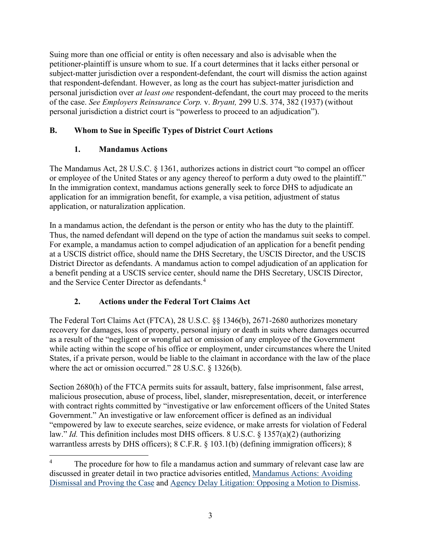Suing more than one official or entity is often necessary and also is advisable when the petitioner-plaintiff is unsure whom to sue. If a court determines that it lacks either personal or subject-matter jurisdiction over a respondent-defendant, the court will dismiss the action against that respondent-defendant. However, as long as the court has subject-matter jurisdiction and personal jurisdiction over *at least one* respondent-defendant, the court may proceed to the merits of the case. *See [Employers Reinsurance Corp.](https://www.lexis.com/research/buttonTFLink?_m=609b0ef8edfd8ecadab52a7cff7310bc&_xfercite=%3ccite%20cc%3d%22USA%22%3e%3c%21%5bCDATA%5b526%20U.S.%20574%5d%5d%3e%3c%2fcite%3e&_butType=3&_butStat=2&_butNum=166&_butInline=1&_butinfo=%3ccite%20cc%3d%22USA%22%3e%3c%21%5bCDATA%5b299%20U.S.%20374%2c%20382%5d%5d%3e%3c%2fcite%3e&_fmtstr=FULL&docnum=1&_startdoc=1&wchp=dGLzVzz-zSkAA&_md5=4fc4844280d4584b7dfebbf9a3c7ae0a)* v. *Bryant,* 299 U.S. 374, 382 (1937) (without personal jurisdiction a district court is "powerless to proceed to an adjudication").

### **B. Whom to Sue in Specific Types of District Court Actions**

## **1. Mandamus Actions**

The Mandamus Act, 28 U.S.C. § 1361, authorizes actions in district court "to compel an officer or employee of the United States or any agency thereof to perform a duty owed to the plaintiff." In the immigration context, mandamus actions generally seek to force DHS to adjudicate an application for an immigration benefit, for example, a visa petition, adjustment of status application, or naturalization application.

In a mandamus action, the defendant is the person or entity who has the duty to the plaintiff. Thus, the named defendant will depend on the type of action the mandamus suit seeks to compel. For example, a mandamus action to compel adjudication of an application for a benefit pending at a USCIS district office, should name the DHS Secretary, the USCIS Director, and the USCIS District Director as defendants. A mandamus action to compel adjudication of an application for a benefit pending at a USCIS service center, should name the DHS Secretary, USCIS Director, and the Service Center Director as defendants.<sup>[4](#page-2-0)</sup>

## **2. Actions under the Federal Tort Claims Act**

The Federal Tort Claims Act (FTCA), 28 U.S.C. §§ 1346(b), 2671-2680 authorizes monetary recovery for damages, loss of property, personal injury or death in suits where damages occurred as a result of the "negligent or wrongful act or omission of any employee of the Government while acting within the scope of his office or employment, under circumstances where the United States, if a private person, would be liable to the claimant in accordance with the law of the place where the act or omission occurred." 28 U.S.C. § 1326(b).

Section 2680(h) of the FTCA permits suits for assault, battery, false imprisonment, false arrest, malicious prosecution, abuse of process, libel, slander, misrepresentation, deceit, or interference with contract rights committed by "investigative or law enforcement officers of the United States Government." An investigative or law enforcement officer is defined as an individual "empowered by law to execute searches, seize evidence, or make arrests for violation of Federal law." *Id.* This definition includes most DHS officers. 8 U.S.C. § 1357(a)(2) (authorizing warrantless arrests by DHS officers); 8 C.F.R. § 103.1(b) (defining immigration officers); 8

<span id="page-2-0"></span>The procedure for how to file a mandamus action and summary of relevant case law are discussed in greater detail in two practice advisories entitled, [Mandamus Actions: Avoiding](https://immigrationlitigation.org/wp-content/uploads/2021/02/2021.2.19-Mandamus-APA.Advisory-FINAL.pdf)  [Dismissal and Proving the Case](https://immigrationlitigation.org/wp-content/uploads/2021/02/2021.2.19-Mandamus-APA.Advisory-FINAL.pdf) and [Agency Delay Litigation: Opposing a Motion to Dismiss.](https://www.americanimmigrationcouncil.org/practice_advisory/agency-delay-litigation-opposing-motion-dismiss)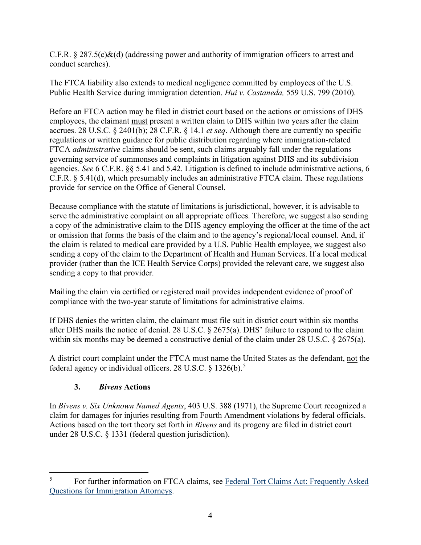C.F.R.  $\S 287.5(c)\&(d)$  (addressing power and authority of immigration officers to arrest and conduct searches).

The FTCA liability also extends to medical negligence committed by employees of the U.S. Public Health Service during immigration detention. *Hui v. Castaneda,* 559 U.S. 799 (2010).

Before an FTCA action may be filed in district court based on the actions or omissions of DHS employees, the claimant must present a written claim to DHS within two years after the claim accrues. 28 U.S.C. § 2401(b); 28 C.F.R. § 14.1 *et seq*. Although there are currently no specific regulations or written guidance for public distribution regarding where immigration-related FTCA *administrative* claims should be sent, such claims arguably fall under the regulations governing service of summonses and complaints in litigation against DHS and its subdivision agencies. *See* 6 C.F.R. §§ 5.41 and 5.42. Litigation is defined to include administrative actions, 6 C.F.R. § 5.41(d), which presumably includes an administrative FTCA claim. These regulations provide for service on the Office of General Counsel.

Because compliance with the statute of limitations is jurisdictional, however, it is advisable to serve the administrative complaint on all appropriate offices. Therefore, we suggest also sending a copy of the administrative claim to the DHS agency employing the officer at the time of the act or omission that forms the basis of the claim and to the agency's regional/local counsel. And, if the claim is related to medical care provided by a U.S. Public Health employee, we suggest also sending a copy of the claim to the Department of Health and Human Services. If a local medical provider (rather than the ICE Health Service Corps) provided the relevant care, we suggest also sending a copy to that provider.

Mailing the claim via certified or registered mail provides independent evidence of proof of compliance with the two-year statute of limitations for administrative claims.

If DHS denies the written claim, the claimant must file suit in district court within six months after DHS mails the notice of denial. 28 U.S.C. § 2675(a). DHS' failure to respond to the claim within six months may be deemed a constructive denial of the claim under 28 U.S.C. § 2675(a).

A district court complaint under the FTCA must name the United States as the defendant, not the federal agency or individual officers. 28 U.S.C.  $\S$  1326(b).<sup>[5](#page-3-0)</sup>

## **3.** *Bivens* **Actions**

In *Bivens v. Six Unknown Named Agents*, 403 U.S. 388 (1971), the Supreme Court recognized a claim for damages for injuries resulting from Fourth Amendment violations by federal officials. Actions based on the tort theory set forth in *Bivens* and its progeny are filed in district court under 28 U.S.C. § 1331 (federal question jurisdiction).

<span id="page-3-0"></span><sup>&</sup>lt;sup>5</sup> For further information on FTCA claims, see Federal Tort Claims Act: Frequently Asked [Questions for Immigration Attorneys.](https://immigrationlitigation.org/wp-content/uploads/2021/02/2021.2.17-FTCA-PA-FINAL.pdf)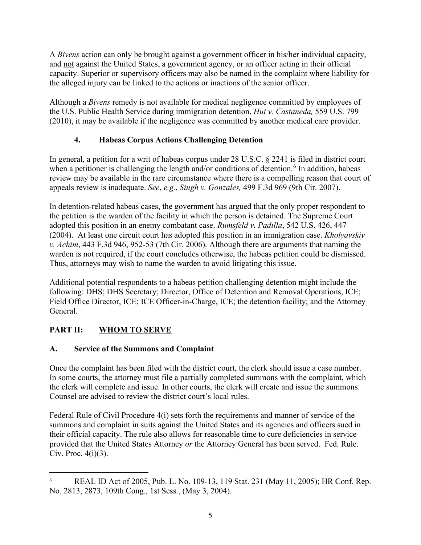A *Bivens* action can only be brought against a government officer in his/her individual capacity, and not against the United States, a government agency, or an officer acting in their official capacity. Superior or supervisory officers may also be named in the complaint where liability for the alleged injury can be linked to the actions or inactions of the senior officer.

Although a *Bivens* remedy is not available for medical negligence committed by employees of the U.S. Public Health Service during immigration detention, *Hui v. Castaneda,* 559 U.S. 799 (2010), it may be available if the negligence was committed by another medical care provider.

### **4. Habeas Corpus Actions Challenging Detention**

In general, a petition for a writ of habeas corpus under 28 U.S.C. § 2241 is filed in district court when a petitioner is challenging the length and/or conditions of detention.<sup>[6](#page-4-0)</sup> In addition, habeas review may be available in the rare circumstance where there is a compelling reason that court of appeals review is inadequate. *See*, *e.g.*, *Singh v. Gonzales,* 499 F.3d 969 (9th Cir. 2007).

In detention-related habeas cases, the government has argued that the only proper respondent to the petition is the warden of the facility in which the person is detained. The Supreme Court adopted this position in an enemy combatant case. *Rumsfeld v. Padilla*[, 542 U.S. 426, 447](https://www.lexis.com/research/buttonTFLink?_m=5b2267ee66a74415eb37c685df78f85f&_xfercite=%3ccite%20cc%3d%22USA%22%3e%3c%21%5bCDATA%5b2009%20U.S.%20Dist.%20LEXIS%2033569%5d%5d%3e%3c%2fcite%3e&_butType=3&_butStat=2&_butNum=4&_butInline=1&_butinfo=%3ccite%20cc%3d%22USA%22%3e%3c%21%5bCDATA%5b542%20U.S.%20426%2c%20447%5d%5d%3e%3c%2fcite%3e&_fmtstr=FULL&docnum=11&_startdoc=11&wchp=dGLbVzb-zSkAl&_md5=504838733653e17ee9e43e6addab55ab)  [\(2004\).](https://www.lexis.com/research/buttonTFLink?_m=5b2267ee66a74415eb37c685df78f85f&_xfercite=%3ccite%20cc%3d%22USA%22%3e%3c%21%5bCDATA%5b2009%20U.S.%20Dist.%20LEXIS%2033569%5d%5d%3e%3c%2fcite%3e&_butType=3&_butStat=2&_butNum=4&_butInline=1&_butinfo=%3ccite%20cc%3d%22USA%22%3e%3c%21%5bCDATA%5b542%20U.S.%20426%2c%20447%5d%5d%3e%3c%2fcite%3e&_fmtstr=FULL&docnum=11&_startdoc=11&wchp=dGLbVzb-zSkAl&_md5=504838733653e17ee9e43e6addab55ab) At least one circuit court has adopted this position in an immigration case. *[Kholyavskiy](https://www.lexis.com/research/buttonTFLink?_m=5a57f7a96a32a76f9a52d9b2e60682c5&_xfercite=%3ccite%20cc%3d%22USA%22%3e%3c%21%5bCDATA%5b2009%20U.S.%20Dist.%20LEXIS%2040964%5d%5d%3e%3c%2fcite%3e&_butType=3&_butStat=2&_butNum=23&_butInline=1&_butinfo=%3ccite%20cc%3d%22USA%22%3e%3c%21%5bCDATA%5b443%20F.3d%20946%5d%5d%3e%3c%2fcite%3e&_fmtstr=FULL&docnum=8&_startdoc=1&wchp=dGLbVzb-zSkAl&_md5=91e4e918581db99ac698b7458661665f)  v. Achim*[, 443 F.3d 946, 952-53](https://www.lexis.com/research/buttonTFLink?_m=5a57f7a96a32a76f9a52d9b2e60682c5&_xfercite=%3ccite%20cc%3d%22USA%22%3e%3c%21%5bCDATA%5b2009%20U.S.%20Dist.%20LEXIS%2040964%5d%5d%3e%3c%2fcite%3e&_butType=3&_butStat=2&_butNum=23&_butInline=1&_butinfo=%3ccite%20cc%3d%22USA%22%3e%3c%21%5bCDATA%5b443%20F.3d%20946%5d%5d%3e%3c%2fcite%3e&_fmtstr=FULL&docnum=8&_startdoc=1&wchp=dGLbVzb-zSkAl&_md5=91e4e918581db99ac698b7458661665f) (7th Cir. 2006). Although there are arguments that naming the warden is not required, if the court concludes otherwise, the habeas petition could be dismissed. Thus, attorneys may wish to name the warden to avoid litigating this issue.

Additional potential respondents to a habeas petition challenging detention might include the following: DHS; DHS Secretary; Director, Office of Detention and Removal Operations, ICE; Field Office Director, ICE; ICE Officer-in-Charge, ICE; the detention facility; and the Attorney General.

## **PART II: WHOM TO SERVE**

## **A. Service of the Summons and Complaint**

Once the complaint has been filed with the district court, the clerk should issue a case number. In some courts, the attorney must file a partially completed summons with the complaint, which the clerk will complete and issue. In other courts, the clerk will create and issue the summons. Counsel are advised to review the district court's local rules.

Federal Rule of Civil Procedure 4(i) sets forth the requirements and manner of service of the summons and complaint in suits against the United States and its agencies and officers sued in their official capacity. The rule also allows for reasonable time to cure deficiencies in service provided that the United States Attorney *or* the Attorney General has been served. Fed. Rule. Civ. Proc.  $4(i)(3)$ .

<span id="page-4-0"></span><sup>6</sup> REAL ID Act of 2005, Pub. L. No. 109-13, 119 Stat. 231 (May 11, 2005); HR Conf. Rep. No. 2813, 2873, 109th Cong., 1st Sess., (May 3, 2004).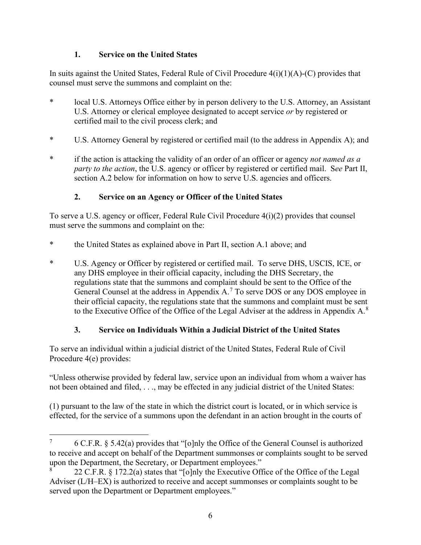### **1. Service on the United States**

In suits against the United States, Federal Rule of Civil Procedure  $4(i)(1)(A)-(C)$  provides that counsel must serve the summons and complaint on the:

- \* local U.S. Attorneys Office either by in person delivery to the U.S. Attorney, an Assistant U.S. Attorney or clerical employee designated to accept service *or* by registered or certified mail to the civil process clerk; and
- \* U.S. Attorney General by registered or certified mail (to the address in Appendix A); and
- \* if the action is attacking the validity of an order of an officer or agency *not named as a party to the action*, the U.S. agency or officer by registered or certified mail. S*ee* Part II, section A.2 below for information on how to serve U.S. agencies and officers.

### **2. Service on an Agency or Officer of the United States**

To serve a U.S. agency or officer, Federal Rule Civil Procedure 4(i)(2) provides that counsel must serve the summons and complaint on the:

- \* the United States as explained above in Part II, section A.1 above; and
- \* U.S. Agency or Officer by registered or certified mail. To serve DHS, USCIS, ICE, or any DHS employee in their official capacity, including the DHS Secretary, the regulations state that the summons and complaint should be sent to the Office of the General Counsel at the address in Appendix A.<sup>[7](#page-5-0)</sup> To serve DOS or any DOS employee in their official capacity, the regulations state that the summons and complaint must be sent to the Executive Office of the Office of the Legal Adviser at the address in Appendix  $A^8$  $A^8$ .

## **3. Service on Individuals Within a Judicial District of the United States**

To serve an individual within a judicial district of the United States, Federal Rule of Civil Procedure 4(e) provides:

"Unless otherwise provided by federal law, service upon an individual from whom a waiver has not been obtained and filed, . . ., may be effected in any judicial district of the United States:

(1) pursuant to the law of the state in which the district court is located, or in which service is effected, for the service of a summons upon the defendant in an action brought in the courts of

<span id="page-5-0"></span><sup>&</sup>lt;sup>7</sup> 6 C.F.R. § 5.42(a) provides that "[o]nly the Office of the General Counsel is authorized to receive and accept on behalf of the Department summonses or complaints sought to be served upon the Department, the Secretary, or Department employees."

<span id="page-5-1"></span><sup>8</sup> 22 C.F.R. § 172.2(a) states that "[o]nly the Executive Office of the Office of the Legal Adviser (L/H–EX) is authorized to receive and accept summonses or complaints sought to be served upon the Department or Department employees."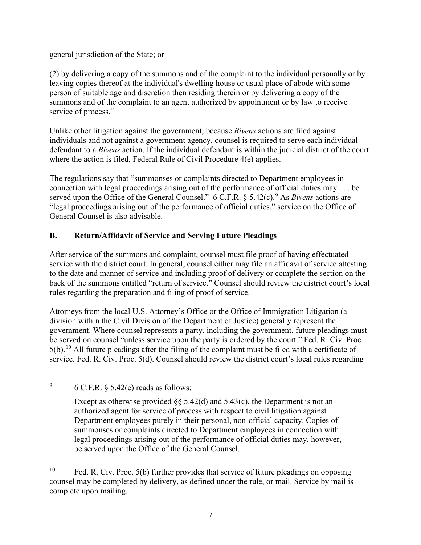general jurisdiction of the State; or

(2) by delivering a copy of the summons and of the complaint to the individual personally or by leaving copies thereof at the individual's dwelling house or usual place of abode with some person of suitable age and discretion then residing therein or by delivering a copy of the summons and of the complaint to an agent authorized by appointment or by law to receive service of process."

Unlike other litigation against the government, because *Bivens* actions are filed against individuals and not against a government agency, counsel is required to serve each individual defendant to a *Bivens* action. If the individual defendant is within the judicial district of the court where the action is filed, Federal Rule of Civil Procedure 4(e) applies.

The regulations say that "summonses or complaints directed to Department employees in connection with legal proceedings arising out of the performance of official duties may . . . be served upon the Office of the General Counsel." 6 C.F.R. § 5.42(c).<sup>[9](#page-6-0)</sup> As *Bivens* actions are "legal proceedings arising out of the performance of official duties," service on the Office of General Counsel is also advisable.

### **B. Return/Affidavit of Service and Serving Future Pleadings**

After service of the summons and complaint, counsel must file proof of having effectuated service with the district court. In general, counsel either may file an affidavit of service attesting to the date and manner of service and including proof of delivery or complete the section on the back of the summons entitled "return of service." Counsel should review the district court's local rules regarding the preparation and filing of proof of service.

Attorneys from the local U.S. Attorney's Office or the Office of Immigration Litigation (a division within the Civil Division of the Department of Justice) generally represent the government. Where counsel represents a party, including the government, future pleadings must be served on counsel "unless service upon the party is ordered by the court." Fed. R. Civ. Proc.  $5(b)$ .<sup>[10](#page-6-1)</sup> All future pleadings after the filing of the complaint must be filed with a certificate of service. Fed. R. Civ. Proc. 5(d). Counsel should review the district court's local rules regarding

<span id="page-6-0"></span> $\frac{9}{6}$  6 C.F.R.  $\frac{5.42(c)}{c}$  reads as follows:

Except as otherwise provided  $\S$ § 5.42(d) and 5.43(c), the Department is not an authorized agent for service of process with respect to civil litigation against Department employees purely in their personal, non-official capacity. Copies of summonses or complaints directed to Department employees in connection with legal proceedings arising out of the performance of official duties may, however, be served upon the Office of the General Counsel.

<span id="page-6-1"></span><sup>&</sup>lt;sup>10</sup> Fed. R. Civ. Proc. 5(b) further provides that service of future pleadings on opposing counsel may be completed by delivery, as defined under the rule, or mail. Service by mail is complete upon mailing.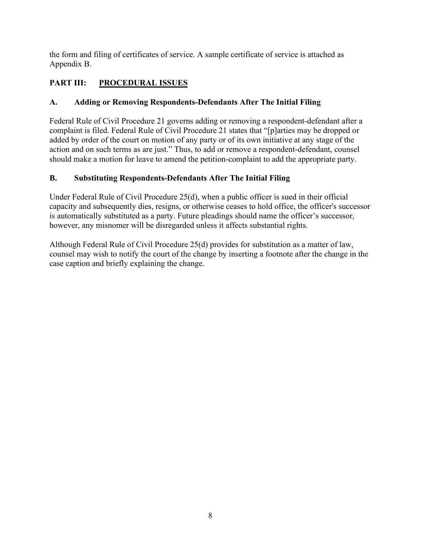the form and filing of certificates of service. A sample certificate of service is attached as Appendix B.

# **PART III: PROCEDURAL ISSUES**

# **A. Adding or Removing Respondents-Defendants After The Initial Filing**

Federal Rule of Civil Procedure 21 governs adding or removing a respondent-defendant after a complaint is filed. Federal Rule of Civil Procedure 21 states that "[p]arties may be dropped or added by order of the court on motion of any party or of its own initiative at any stage of the action and on such terms as are just." Thus, to add or remove a respondent-defendant, counsel should make a motion for leave to amend the petition-complaint to add the appropriate party.

# **B. Substituting Respondents-Defendants After The Initial Filing**

Under Federal Rule of Civil Procedure 25(d), when a public officer is sued in their official capacity and subsequently dies, resigns, or otherwise ceases to hold office, the officer's successor is automatically substituted as a party. Future pleadings should name the officer's successor, however, any misnomer will be disregarded unless it affects substantial rights.

Although Federal Rule of Civil Procedure 25(d) provides for substitution as a matter of law, counsel may wish to notify the court of the change by inserting a footnote after the change in the case caption and briefly explaining the change.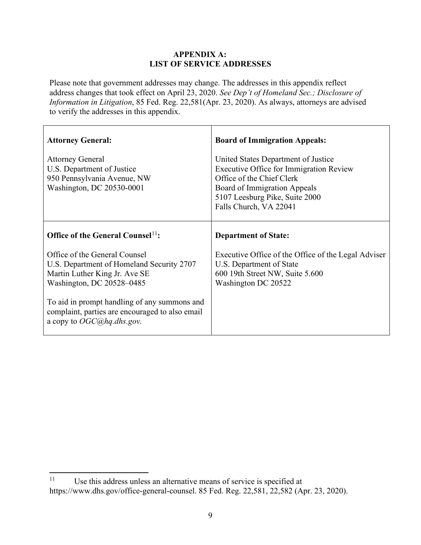#### **APPENDIX A: LIST OF SERVICE ADDRESSES**

Please note that government addresses may change. The addresses in this appendix reflect address changes that took effect on April 23, 2020. *See Dep't of Homeland Sec.; Disclosure of Information in Litigation*, 85 Fed. Reg. 22,581(Apr. 23, 2020). As always, attorneys are advised to verify the addresses in this appendix.

| <b>Attorney General:</b>                                                                                                                 | <b>Board of Immigration Appeals:</b>                                                                                                                                                                           |
|------------------------------------------------------------------------------------------------------------------------------------------|----------------------------------------------------------------------------------------------------------------------------------------------------------------------------------------------------------------|
| <b>Attorney General</b><br>U.S. Department of Justice<br>950 Pennsylvania Avenue, NW<br>Washington, DC 20530-0001                        | United States Department of Justice<br><b>Executive Office for Immigration Review</b><br>Office of the Chief Clerk<br>Board of Immigration Appeals<br>5107 Leesburg Pike, Suite 2000<br>Falls Church, VA 22041 |
| Office of the General Counsel <sup>11</sup> :                                                                                            | <b>Department of State:</b>                                                                                                                                                                                    |
| Office of the General Counsel<br>U.S. Department of Homeland Security 2707<br>Martin Luther King Jr. Ave SE<br>Washington, DC 20528-0485 | Executive Office of the Office of the Legal Adviser<br>U.S. Department of State<br>600 19th Street NW, Suite 5.600<br>Washington DC 20522                                                                      |
| To aid in prompt handling of any summons and<br>complaint, parties are encouraged to also email<br>a copy to $OGC(0)$ hq.dhs.gov.        |                                                                                                                                                                                                                |

<span id="page-8-0"></span><sup>&</sup>lt;sup>11</sup> Use this address unless an alternative means of service is specified at https://www.dhs.gov/office-general-counsel. 85 Fed. Reg. 22,581, 22,582 (Apr. 23, 2020).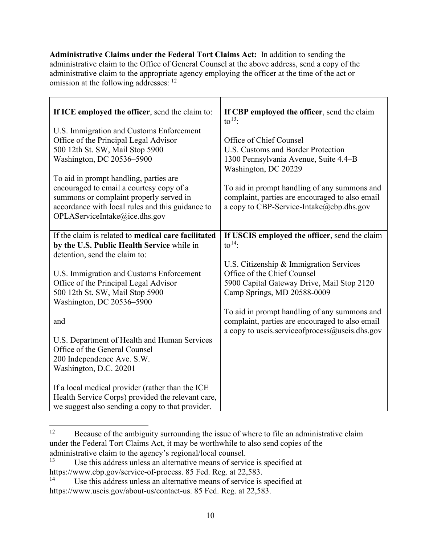**Administrative Claims under the Federal Tort Claims Act:** In addition to sending the administrative claim to the Office of General Counsel at the above address, send a copy of the administrative claim to the appropriate agency employing the officer at the time of the act or omission at the following addresses: [12](#page-9-0)

| If ICE employed the officer, send the claim to:                                    | If CBP employed the officer, send the claim<br>to $^{13}$ :                                     |
|------------------------------------------------------------------------------------|-------------------------------------------------------------------------------------------------|
| U.S. Immigration and Customs Enforcement                                           |                                                                                                 |
| Office of the Principal Legal Advisor                                              | Office of Chief Counsel                                                                         |
| 500 12th St. SW, Mail Stop 5900                                                    | U.S. Customs and Border Protection                                                              |
| Washington, DC 20536-5900                                                          | 1300 Pennsylvania Avenue, Suite 4.4-B                                                           |
|                                                                                    | Washington, DC 20229                                                                            |
| To aid in prompt handling, parties are<br>encouraged to email a courtesy copy of a |                                                                                                 |
| summons or complaint properly served in                                            | To aid in prompt handling of any summons and<br>complaint, parties are encouraged to also email |
| accordance with local rules and this guidance to                                   | a copy to CBP-Service-Intake@cbp.dhs.gov                                                        |
| OPLAServiceIntake@ice.dhs.gov                                                      |                                                                                                 |
|                                                                                    |                                                                                                 |
| If the claim is related to medical care facilitated                                | If USCIS employed the officer, send the claim                                                   |
| by the U.S. Public Health Service while in                                         | to $14$ :                                                                                       |
| detention, send the claim to:                                                      |                                                                                                 |
|                                                                                    | U.S. Citizenship & Immigration Services                                                         |
| U.S. Immigration and Customs Enforcement                                           | Office of the Chief Counsel                                                                     |
| Office of the Principal Legal Advisor<br>500 12th St. SW, Mail Stop 5900           | 5900 Capital Gateway Drive, Mail Stop 2120<br>Camp Springs, MD 20588-0009                       |
| Washington, DC 20536-5900                                                          |                                                                                                 |
|                                                                                    | To aid in prompt handling of any summons and                                                    |
| and                                                                                | complaint, parties are encouraged to also email                                                 |
|                                                                                    | a copy to uscis.serviceofprocess@uscis.dhs.gov                                                  |
| U.S. Department of Health and Human Services                                       |                                                                                                 |
| Office of the General Counsel                                                      |                                                                                                 |
| 200 Independence Ave. S.W.                                                         |                                                                                                 |
| Washington, D.C. 20201                                                             |                                                                                                 |
| If a local medical provider (rather than the ICE                                   |                                                                                                 |
| Health Service Corps) provided the relevant care,                                  |                                                                                                 |
| we suggest also sending a copy to that provider.                                   |                                                                                                 |

<span id="page-9-0"></span><sup>&</sup>lt;sup>12</sup> Because of the ambiguity surrounding the issue of where to file an administrative claim under the Federal Tort Claims Act, it may be worthwhile to also send copies of the administrative claim to the agency's regional/local counsel.<br><sup>13</sup> Lee this address unless an alternative means of servi-

<span id="page-9-1"></span>Use this address unless an alternative means of service is specified at https://www.cbp.gov/service-of-process. 85 Fed. Reg. at 22,583.<br><sup>14</sup> Llso this address unless an alternative means of service is

<span id="page-9-2"></span>Use this address unless an alternative means of service is specified at https://www.uscis.gov/about-us/contact-us. 85 Fed. Reg. at 22,583.